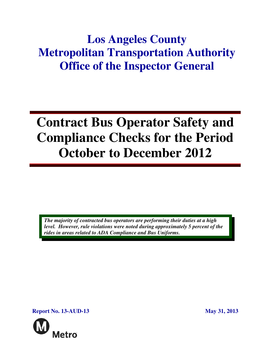## **Los Angeles County Metropolitan Transportation Authority Office of the Inspector General**

# **Contract Bus Operator Safety and Compliance Checks for the Period October to December 2012**

*The majority of contracted bus operators are performing their duties at a high level. However, rule violations were noted during approximately 5 percent of the rides in areas related to ADA Compliance and Bus Uniforms.* 

**Report No. 13-AUD-13** May 31, 2013

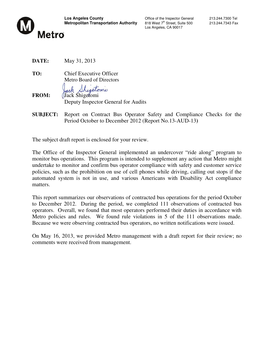

Los Angeles, CA 90017

- **DATE:** May 31, 2013
- **TO:** Chief Executive Officer Metro Board of Directors

ack Shigetomi

**FROM:** Jack Shigetomi Deputy Inspector General for Audits

**SUBJECT:** Report on Contract Bus Operator Safety and Compliance Checks for the Period October to December 2012 (Report No.13-AUD-13**)**

The subject draft report is enclosed for your review.

The Office of the Inspector General implemented an undercover "ride along" program to monitor bus operations. This program is intended to supplement any action that Metro might undertake to monitor and confirm bus operator compliance with safety and customer service policies, such as the prohibition on use of cell phones while driving, calling out stops if the automated system is not in use, and various Americans with Disability Act compliance matters.

This report summarizes our observations of contracted bus operations for the period October to December 2012. During the period, we completed 111 observations of contracted bus operators. Overall, we found that most operators performed their duties in accordance with Metro policies and rules. We found rule violations in 5 of the 111 observations made. Because we were observing contracted bus operators, no written notifications were issued.

On May 16, 2013, we provided Metro management with a draft report for their review; no comments were received from management.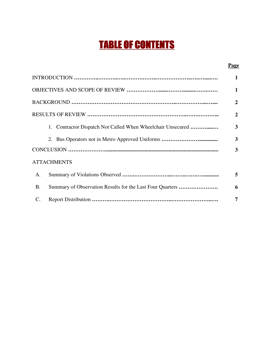## TABLE OF CONTENTS

#### **Page**

|                                                                        | 2 |  |  |  |  |
|------------------------------------------------------------------------|---|--|--|--|--|
|                                                                        | 2 |  |  |  |  |
| 1. Contractor Dispatch Not Called When Wheelchair Unsecured            | 3 |  |  |  |  |
|                                                                        | 3 |  |  |  |  |
|                                                                        | 3 |  |  |  |  |
| <b>ATTACHMENTS</b>                                                     |   |  |  |  |  |
| A.                                                                     | 5 |  |  |  |  |
| Summary of Observation Results for the Last Four Quarters<br><b>B.</b> | 6 |  |  |  |  |
| $\mathcal{C}$ .                                                        | 7 |  |  |  |  |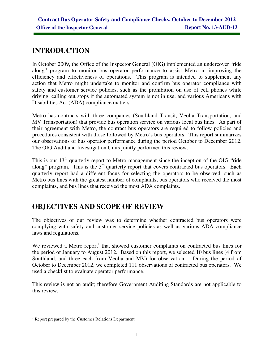## **INTRODUCTION**

In October 2009, the Office of the Inspector General (OIG) implemented an undercover "ride along" program to monitor bus operator performance to assist Metro in improving the efficiency and effectiveness of operations. This program is intended to supplement any action that Metro might undertake to monitor and confirm bus operator compliance with safety and customer service policies, such as the prohibition on use of cell phones while driving, calling out stops if the automated system is not in use, and various Americans with Disabilities Act (ADA) compliance matters.

Metro has contracts with three companies (Southland Transit, Veolia Transportation, and MV Transportation) that provide bus operation service on various local bus lines. As part of their agreement with Metro, the contract bus operators are required to follow policies and procedures consistent with those followed by Metro's bus operators. This report summarizes our observations of bus operator performance during the period October to December 2012. The OIG Audit and Investigation Units jointly performed this review.

This is our  $13<sup>th</sup>$  quarterly report to Metro management since the inception of the OIG "ride" along" program. This is the 3<sup>rd</sup> quarterly report that covers contracted bus operators. Each quarterly report had a different focus for selecting the operators to be observed, such as Metro bus lines with the greatest number of complaints, bus operators who received the most complaints, and bus lines that received the most ADA complaints.

## **OBJECTIVES AND SCOPE OF REVIEW**

The objectives of our review was to determine whether contracted bus operators were complying with safety and customer service policies as well as various ADA compliance laws and regulations.

We reviewed a Metro report<sup>1</sup> that showed customer complaints on contracted bus lines for the period of January to August 2012. Based on this report, we selected 10 bus lines (4 from Southland, and three each from Veolia and MV) for observation. During the period of October to December 2012, we completed 111 observations of contracted bus operators. We used a checklist to evaluate operator performance.

This review is not an audit; therefore Government Auditing Standards are not applicable to this review.

 $\overline{a}$ <sup>1</sup> Report prepared by the Customer Relations Department.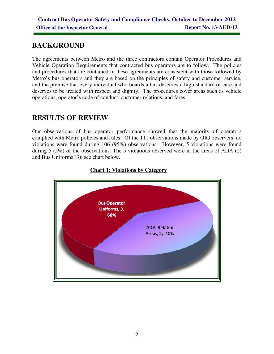## **BACKGROUND**

The agreements between Metro and the three contractors contain Operator Procedures and Vehicle Operation Requirements that contracted bus operators are to follow. The policies and procedures that are contained in these agreements are consistent with those followed by Metro's bus operators and they are based on the principles of safety and customer service, and the premise that every individual who boards a bus deserves a high standard of care and deserves to be treated with respect and dignity. The procedures cover areas such as vehicle operations, operator's code of conduct, customer relations, and fares.

## **RESULTS OF REVIEW**

Our observations of bus operator performance showed that the majority of operators complied with Metro policies and rules. Of the 111 observations made by OIG observers, no violations were found during 106 (95%) observations. However, 5 violations were found during 5 (5%) of the observations. The 5 violations observed were in the areas of ADA (2) and Bus Uniforms (3); see chart below.



#### **Chart 1: Violations by Category**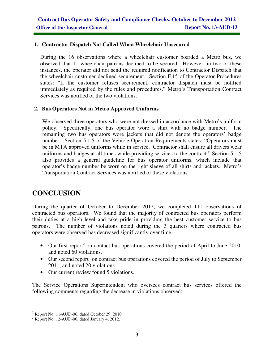#### **1. Contractor Dispatch Not Called When Wheelchair Unsecured**

During the 16 observations where a wheelchair customer boarded a Metro bus, we observed that 11 wheelchair patrons declined to be secured. However, in two of these instances, the operator did not send the required notification to Contractor Dispatch that the wheelchair customer declined securement. Section F.15 of the Operator Procedures states: "If the customer refuses securement, contractor dispatch must be notified immediately as required by the rules and procedures." Metro's Transportation Contract Services was notified of the two violations.

#### **2. Bus Operators Not in Metro Approved Uniforms**

We observed three operators who were not dressed in accordance with Metro's uniform policy. Specifically, one bus operator wore a shirt with no badge number. The remaining two bus operators wore jackets that did not denote the operators' badge number. Section 5.1.5 of the Vehicle Operation Requirements states: "Operators must be in MTA approved uniforms while in service. Contractor shall ensure all drivers wear uniforms and badges at all times while providing services to the contract." Section 5.1.5 also provides a general guideline for bus operator uniforms, which include that operator's badge number be worn on the right sleeve of all shirts and jackets. Metro's Transportation Contract Services was notified of these violations.

## **CONCLUSION**

During the quarter of October to December 2012, we completed 111 observations of contracted bus operators. We found that the majority of contracted bus operators perform their duties at a high level and take pride in providing the best customer service to bus patrons. The number of violations noted during the 3 quarters where contracted bus operators were observed has decreased significantly over time.

- $\bullet$  Our first report<sup>2</sup> on contact bus operations covered the period of April to June 2010, and noted 60 violations.
- $\bullet$  Our second report<sup>3</sup> on contract bus operations covered the period of July to September 2011, and noted 20 violations
- Our current review found 5 violations.

The Service Operations Superintendent who oversees contract bus services offered the following comments regarding the decrease in violations observed:

 2 Report No. 11-AUD-06, dated October 29, 2010.

<sup>&</sup>lt;sup>3</sup> Report No. 12-AUD-06, dated January 4, 2012.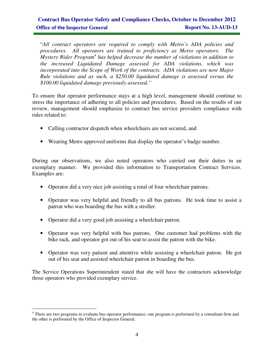### **Contract Bus Operator Safety and Compliance Checks, October to December 2012 Office of the Inspector General Report No. 13-AUD-13**

"*All contract operators are required to comply with Metro's ADA policies and procedures. All operators are trained to proficiency as Metro operators. The Mystery Rider Program*<sup>4</sup> has helped decrease the number of violations in addition to *the increased Liquidated Damage assessed for ADA violations, which was incorporated into the Scope of Work of the contracts. ADA violations are now Major Rule violations and as such, a \$250.00 liquidated damage is assessed versus the \$100.00 liquidated damage previously assessed."* 

To ensure that operator performance stays at a high level, management should continue to stress the importance of adhering to all policies and procedures. Based on the results of our review, management should emphasize to contract bus service providers compliance with rules related to:

- Calling contractor dispatch when wheelchairs are not secured, and
- Wearing Metro approved uniforms that display the operator's badge number.

During our observations, we also noted operators who carried out their duties in an exemplary manner. We provided this information to Transportation Contract Services. Examples are:

- Operator did a very nice job assisting a total of four wheelchair patrons.
- Operator was very helpful and friendly to all bus patrons. He took time to assist a patron who was boarding the bus with a stroller.
- Operator did a very good job assisting a wheelchair patron.
- Operator was very helpful with bus patrons. One customer had problems with the bike rack, and operator got out of his seat to assist the patron with the bike.
- Operator was very patient and attentive while assisting a wheelchair patron. He got out of his seat and assisted wheelchair patron in boarding the bus.

The Service Operations Superintendent stated that she will have the contractors acknowledge those operators who provided exemplary service.

<sup>&</sup>lt;sup>4</sup> There are two programs to evaluate bus operator performance; one program is performed by a consultant firm and <sup>4</sup> the other is performed by the Office of Inspector General.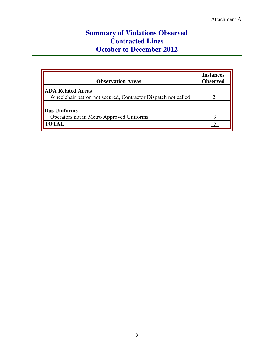## **Summary of Violations Observed Contracted Lines October to December 2012**

| <b>Observation Areas</b>                                      | <b>Instances</b><br><b>Observed</b> |
|---------------------------------------------------------------|-------------------------------------|
| <b>ADA Related Areas</b>                                      |                                     |
| Wheelchair patron not secured, Contractor Dispatch not called |                                     |
| <b>Bus Uniforms</b>                                           |                                     |
| Operators not in Metro Approved Uniforms                      |                                     |
| <b>TOTAL</b>                                                  |                                     |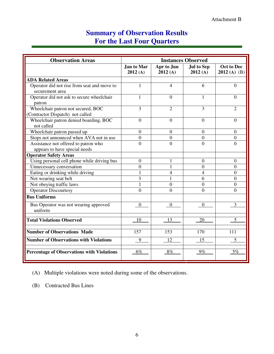## **Summary of Observation Results For the Last Four Quarters**

| <b>Observation Areas</b>                          | <b>Instances Observed</b> |                       |                              |                                    |  |
|---------------------------------------------------|---------------------------|-----------------------|------------------------------|------------------------------------|--|
|                                                   | Jan to Mar<br>2012(A)     | Apr to Jun<br>2012(A) | <b>Jul to Sep</b><br>2012(A) | <b>Oct to Dec</b><br>$2012(A)$ (B) |  |
| <b>ADA Related Areas</b>                          |                           |                       |                              |                                    |  |
| Operator did not rise from seat and move to       | $\mathbf{1}$              | 4                     | 6                            | $\Omega$                           |  |
| securement area                                   |                           |                       |                              |                                    |  |
| Operator did not ask to secure wheelchair         | 1                         | $\theta$              | 1                            | $\Omega$                           |  |
| patron                                            |                           |                       |                              |                                    |  |
| Wheelchair patron not secured, BOC                | 3                         | $\overline{2}$        | 3                            | 2                                  |  |
| (Contractor Dispatch) not called                  |                           |                       |                              |                                    |  |
| Wheelchair patron denied boarding, BOC            | $\boldsymbol{0}$          | $\overline{0}$        | $\overline{0}$               | $\overline{0}$                     |  |
| not called                                        |                           |                       |                              |                                    |  |
| Wheelchair patron passed up                       | $\boldsymbol{0}$          | $\boldsymbol{0}$      | $\overline{0}$               | $\mathbf{0}$                       |  |
| Stops not announced when AVA not in use           | $\boldsymbol{0}$          | $\overline{0}$        | $\theta$                     | $\boldsymbol{0}$                   |  |
| Assistance not offered to patron who              | $\overline{0}$            | $\theta$              | $\Omega$                     | $\Omega$                           |  |
| appears to have special needs                     |                           |                       |                              |                                    |  |
| <b>Operator Safety Areas</b>                      |                           |                       |                              |                                    |  |
| Using personal cell phone while driving bus       | $\overline{0}$            | 1                     | $\overline{0}$               | $\theta$                           |  |
| Unnecessary conversation                          | $\overline{0}$            |                       | $\Omega$                     | $\Omega$                           |  |
| Eating or drinking while driving                  | 1                         | 4                     | 4                            | $\theta$                           |  |
| Not wearing seat belt                             | $\overline{3}$            |                       | 6                            | $\theta$                           |  |
| Not obeying traffic laws                          | 1                         | $\overline{0}$        | $\Omega$                     | $\overline{0}$                     |  |
| Operator Discourtesy                              | $\theta$                  | $\theta$              | $\theta$                     | $\Omega$                           |  |
| <b>Bus Uniforms</b>                               |                           |                       |                              |                                    |  |
| Bus Operator was not wearing approved             | $\mathbf{0}$              | $\overline{0}$        | $\overline{0}$               | 3                                  |  |
| uniform                                           |                           |                       |                              |                                    |  |
| <b>Total Violations Observed</b>                  | 10                        | 13                    | 20                           |                                    |  |
| <b>Number of Observations Made</b>                | 157                       | 153                   | 170                          | 111                                |  |
| <b>Number of Observations with Violations</b>     | 9                         | 12                    | 15                           | 5                                  |  |
| <b>Percentage of Observations with Violations</b> | $6\%$                     | 8%                    | 9%                           | 5%                                 |  |

(A) Multiple violations were noted during some of the observations.

(B) Contracted Bus Lines